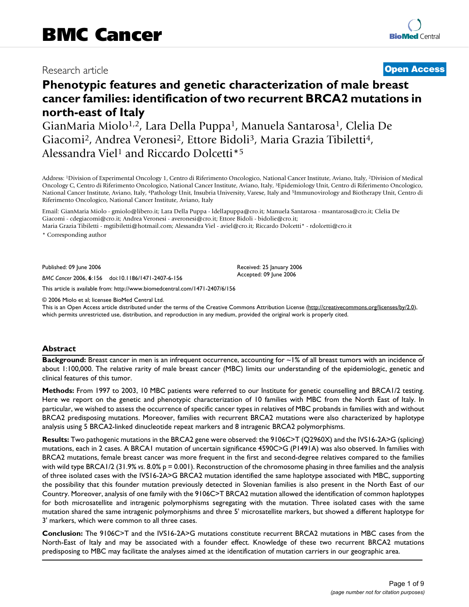## Research article **[Open Access](http://www.biomedcentral.com/info/about/charter/)**

# **Phenotypic features and genetic characterization of male breast cancer families: identification of two recurrent BRCA2 mutations in north-east of Italy**

GianMaria Miolo1,2, Lara Della Puppa1, Manuela Santarosa1, Clelia De Giacomi<sup>2</sup>, Andrea Veronesi<sup>2</sup>, Ettore Bidoli<sup>3</sup>, Maria Grazia Tibiletti<sup>4</sup>, Alessandra Viel<sup>1</sup> and Riccardo Dolcetti<sup>\*5</sup>

Address: 1Division of Experimental Oncology 1, Centro di Riferimento Oncologico, National Cancer Institute, Aviano, Italy, 2Division of Medical Oncology C, Centro di Riferimento Oncologico, National Cancer Institute, Aviano, Italy, 3Epidemiology Unit, Centro di Riferimento Oncologico, National Cancer Institute, Aviano, Italy, 4Pathology Unit, Insubria University, Varese, Italy and 5Immunovirology and Biotherapy Unit, Centro di Riferimento Oncologico, National Cancer Institute, Aviano, Italy

Email: GianMaria Miolo - gmiolo@libero.it; Lara Della Puppa - ldellapuppa@cro.it; Manuela Santarosa - msantarosa@cro.it; Clelia De Giacomi - cdegiacomi@cro.it; Andrea Veronesi - averonesi@cro.it; Ettore Bidoli - bidolie@cro.it; Maria Grazia Tibiletti - mgtibiletti@hotmail.com; Alessandra Viel - aviel@cro.it; Riccardo Dolcetti\* - rdolcetti@cro.it

\* Corresponding author

Published: 09 June 2006

*BMC Cancer* 2006, **6**:156 doi:10.1186/1471-2407-6-156

[This article is available from: http://www.biomedcentral.com/1471-2407/6/156](http://www.biomedcentral.com/1471-2407/6/156)

© 2006 Miolo et al; licensee BioMed Central Ltd.

This is an Open Access article distributed under the terms of the Creative Commons Attribution License [\(http://creativecommons.org/licenses/by/2.0\)](http://creativecommons.org/licenses/by/2.0), which permits unrestricted use, distribution, and reproduction in any medium, provided the original work is properly cited.

Received: 25 January 2006 Accepted: 09 June 2006

#### **Abstract**

**Background:** Breast cancer in men is an infrequent occurrence, accounting for ~1% of all breast tumors with an incidence of about 1:100,000. The relative rarity of male breast cancer (MBC) limits our understanding of the epidemiologic, genetic and clinical features of this tumor.

**Methods:** From 1997 to 2003, 10 MBC patients were referred to our Institute for genetic counselling and BRCA1/2 testing. Here we report on the genetic and phenotypic characterization of 10 families with MBC from the North East of Italy. In particular, we wished to assess the occurrence of specific cancer types in relatives of MBC probands in families with and without BRCA2 predisposing mutations. Moreover, families with recurrent BRCA2 mutations were also characterized by haplotype analysis using 5 BRCA2-linked dinucleotide repeat markers and 8 intragenic BRCA2 polymorphisms.

**Results:** Two pathogenic mutations in the BRCA2 gene were observed: the 9106C>T (Q2960X) and the IVS16-2A>G (splicing) mutations, each in 2 cases. A BRCA1 mutation of uncertain significance 4590C>G (P1491A) was also observed. In families with BRCA2 mutations, female breast cancer was more frequent in the first and second-degree relatives compared to the families with wild type BRCA1/2 (31.9% *vs*. 8.0% p = 0.001). Reconstruction of the chromosome phasing in three families and the analysis of three isolated cases with the IVS16-2A>G BRCA2 mutation identified the same haplotype associated with MBC, supporting the possibility that this founder mutation previously detected in Slovenian families is also present in the North East of our Country. Moreover, analysis of one family with the 9106C>T BRCA2 mutation allowed the identification of common haplotypes for both microsatellite and intragenic polymorphisms segregating with the mutation. Three isolated cases with the same mutation shared the same intragenic polymorphisms and three 5' microsatellite markers, but showed a different haplotype for 3' markers, which were common to all three cases.

**Conclusion:** The 9106C>T and the IVS16-2A>G mutations constitute recurrent BRCA2 mutations in MBC cases from the North-East of Italy and may be associated with a founder effect. Knowledge of these two recurrent BRCA2 mutations predisposing to MBC may facilitate the analyses aimed at the identification of mutation carriers in our geographic area.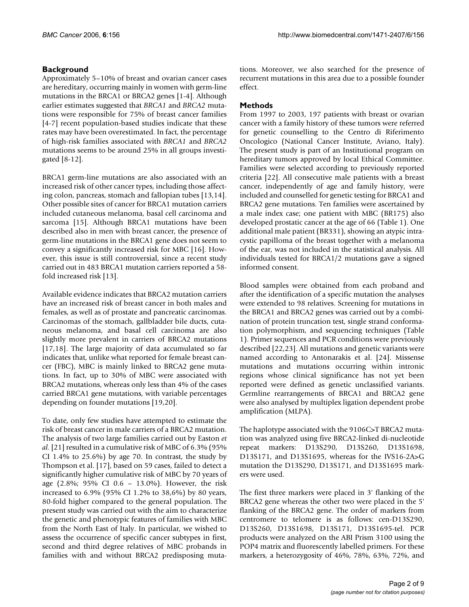### **Background**

Approximately 5–10% of breast and ovarian cancer cases are hereditary, occurring mainly in women with germ-line mutations in the BRCA1 or BRCA2 genes [1-4]. Although earlier estimates suggested that *BRCA1* and *BRCA2* mutations were responsible for 75% of breast cancer families [4-7] recent population-based studies indicate that these rates may have been overestimated. In fact, the percentage of high-risk families associated with *BRCA1* and *BRCA2* mutations seems to be around 25% in all groups investigated [8-12].

BRCA1 germ-line mutations are also associated with an increased risk of other cancer types, including those affecting colon, pancreas, stomach and fallopian tubes [13,14]. Other possible sites of cancer for BRCA1 mutation carriers included cutaneous melanoma, basal cell carcinoma and sarcoma [15]. Although BRCA1 mutations have been described also in men with breast cancer, the presence of germ-line mutations in the BRCA1 gene does not seem to convey a significantly increased risk for MBC [16]. However, this issue is still controversial, since a recent study carried out in 483 BRCA1 mutation carriers reported a 58 fold increased risk [13].

Available evidence indicates that BRCA2 mutation carriers have an increased risk of breast cancer in both males and females, as well as of prostate and pancreatic carcinomas. Carcinomas of the stomach, gallbladder bile ducts, cutaneous melanoma, and basal cell carcinoma are also slightly more prevalent in carriers of BRCA2 mutations [17,18]. The large majority of data accumulated so far indicates that, unlike what reported for female breast cancer (FBC), MBC is mainly linked to BRCA2 gene mutations. In fact, up to 30% of MBC were associated with BRCA2 mutations, whereas only less than 4% of the cases carried BRCA1 gene mutations, with variable percentages depending on founder mutations [19,20].

To date, only few studies have attempted to estimate the risk of breast cancer in male carriers of a BRCA2 mutation. The analysis of two large families carried out by Easton *et al*. [21] resulted in a cumulative risk of MBC of 6.3% (95% CI 1.4% to 25.6%) by age 70. In contrast, the study by Thompson et al. [17], based on 59 cases, failed to detect a significantly higher cumulative risk of MBC by 70 years of age (2.8%; 95% CI 0.6 – 13.0%). However, the risk increased to 6.9% (95% CI 1.2% to 38,6%) by 80 years, 80-fold higher compared to the general population. The present study was carried out with the aim to characterize the genetic and phenotypic features of families with MBC from the North East of Italy. In particular, we wished to assess the occurrence of specific cancer subtypes in first, second and third degree relatives of MBC probands in families with and without BRCA2 predisposing mutations. Moreover, we also searched for the presence of recurrent mutations in this area due to a possible founder effect.

### **Methods**

From 1997 to 2003, 197 patients with breast or ovarian cancer with a family history of these tumors were referred for genetic counselling to the Centro di Riferimento Oncologico (National Cancer Institute, Aviano, Italy). The present study is part of an Institutional program on hereditary tumors approved by local Ethical Committee. Families were selected according to previously reported criteria [22]. All consecutive male patients with a breast cancer, independently of age and family history, were included and counselled for genetic testing for BRCA1 and BRCA2 gene mutations. Ten families were ascertained by a male index case; one patient with MBC (BR175) also developed prostatic cancer at the age of 66 (Table 1). One additional male patient (BR331), showing an atypic intracystic papilloma of the breast together with a melanoma of the ear, was not included in the statistical analysis. All individuals tested for BRCA1/2 mutations gave a signed informed consent.

Blood samples were obtained from each proband and after the identification of a specific mutation the analyses were extended to 98 relatives. Screening for mutations in the BRCA1 and BRCA2 genes was carried out by a combination of protein truncation test, single strand conformation polymorphism, and sequencing techniques (Table 1). Primer sequences and PCR conditions were previously described [22,23]. All mutations and genetic variants were named according to Antonarakis et al. [24]. Missense mutations and mutations occurring within intronic regions whose clinical significance has not yet been reported were defined as genetic unclassified variants. Germline rearrangements of BRCA1 and BRCA2 gene were also analysed by multiplex ligation dependent probe amplification (MLPA).

The haplotype associated with the 9106C>T BRCA2 mutation was analyzed using five BRCA2-linked di-nucleotide repeat markers: D13S290, D13S260, D13S1698, D13S171, and D13S1695, whereas for the IVS16-2A>G mutation the D13S290, D13S171, and D13S1695 markers were used.

The first three markers were placed in 3' flanking of the BRCA2 gene whereas the other two were placed in the 5' flanking of the BRCA2 gene. The order of markers from centromere to telomere is as follows: cen-D13S290, D13S260, D13S1698, D13S171, D13S1695-tel. PCR products were analyzed on the ABI Prism 3100 using the POP4 matrix and fluorescently labelled primers. For these markers, a heterozygosity of 46%, 78%, 63%, 72%, and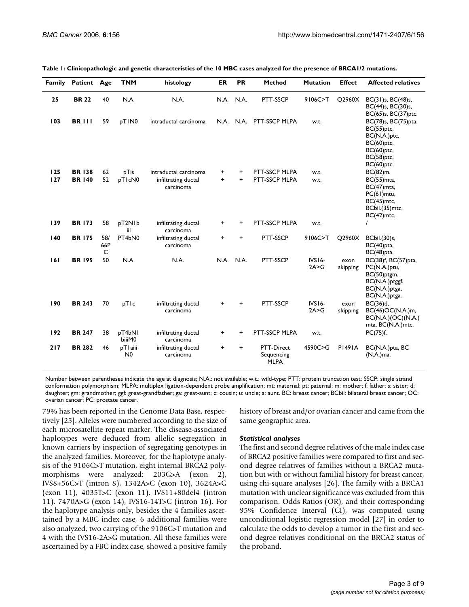|            | Family Patient Age |                 | <b>TNM</b>                | histology                        | ER        | <b>PR</b> | Method                                  | <b>Mutation</b>  | <b>Effect</b>    | <b>Affected relatives</b>                                                                                    |
|------------|--------------------|-----------------|---------------------------|----------------------------------|-----------|-----------|-----------------------------------------|------------------|------------------|--------------------------------------------------------------------------------------------------------------|
| 25         | <b>BR 22</b>       | 40              | N.A.                      | N.A.                             | N.A. N.A. |           | PTT-SSCP                                | 9106C>T          | Q2960X           | BC(31)s, BC(48)s,<br>BC(44)s, BC(30)s,<br>BC(65)s, BC(37)ptc.                                                |
| 103        | <b>BR 111</b>      | 59              | pTIN0                     | intraductal carcinoma            |           |           | N.A. N.A. PTT-SSCP MLPA                 | w.t.             |                  | BC(78)s, BC(75)pta,<br>BC(55)ptc,<br>BC(N.A.)ptc,<br>BC(60)ptc,<br>BC(60)ptc,<br>BC(58)ptc,<br>$BC(60)$ ptc. |
| <b>125</b> | <b>BR138</b>       | 62              | pTis                      | intraductal carcinoma            | +         | $\ddot{}$ | PTT-SSCP MLPA                           | w.t.             |                  | $BC(82)$ m.                                                                                                  |
| 127        | <b>BR 140</b>      | 52              | pTIcN0                    | infiltrating ductal<br>carcinoma | $\ddot{}$ | $+$       | PTT-SSCP MLPA                           | w.t.             |                  | BC(55)mta,<br>BC(47) mta,<br>PC(61)mtu,<br>BC(45)mtc,<br>BCbil.(35)mtc,<br>$BC(42)$ mtc.                     |
| 139        | <b>BR173</b>       | 58              | pT2N1b<br>iii             | infiltrating ductal<br>carcinoma | +         | $\ddot{}$ | PTT-SSCP MLPA                           | w.t.             |                  |                                                                                                              |
| 140        | <b>BR175</b>       | 58/<br>66P<br>C | PT4bN0                    | infiltrating ductal<br>carcinoma | $\ddot{}$ | $\ddot{}$ | PTT-SSCP                                | 9106C>T          | Q2960X           | BCbil.(30)s,<br>$BC(40)$ pta,<br>$BC(48)$ pta.                                                               |
| 161        | <b>BR 195</b>      | 50              | N.A.                      | N.A.                             | N.A. N.A. |           | PTT-SSCP                                | IVS16-<br>2A > G | exon<br>skipping | BC(38)f, BC(57)pta,<br>PC(N.A.)ptu,<br>BC(50)ptgm,<br>BC(N.A.)ptggf,<br>BC(N.A.)ptga,<br>BC(N.A.)ptga.       |
| 190        | <b>BR 243</b>      | 70              | pTIc                      | infiltrating ductal<br>carcinoma | +         | +         | PTT-SSCP                                | IVS16-<br>2A > G | exon<br>skipping | $BC(36)$ d,<br>BC(46)OC(N.A.)m,<br>BC(N.A.)(OC)(N.A.)<br>mta, BC(N.A.)mtc.                                   |
| 192        | <b>BR 247</b>      | 38              | pT4bN1<br>biiiM0          | infiltrating ductal<br>carcinoma | $\ddot{}$ | $\ddot{}$ | PTT-SSCP MLPA                           | w.t.             |                  | PC(75)f.                                                                                                     |
| 217        | <b>BR 282</b>      | 46              | pTlaiii<br>N <sub>0</sub> | infiltrating ductal<br>carcinoma | $\ddot{}$ | $+$       | PTT-Direct<br>Sequencing<br><b>MLPA</b> | 4590C>G          | <b>P1491A</b>    | BC(N.A.)pta, BC<br>(N.A.)ma.                                                                                 |

| Table 1: Clinicopathologic and genetic characteristics of the 10 MBC cases analyzed for the presence of BRCA1/2 mutations. |  |  |
|----------------------------------------------------------------------------------------------------------------------------|--|--|
|----------------------------------------------------------------------------------------------------------------------------|--|--|

Number between parentheses indicate the age at diagnosis; N.A.: not available; w.t.: wild-type; PTT: protein truncation test; SSCP: single strand conformation polymorphism; MLPA: multiplex ligation-dependent probe amplification; mt: maternal; pt: paternal; m: mother; f: father; s: sister; d: daughter; gm: grandmother; ggf: great-grandfather; ga: great-aunt; c: cousin; u: uncle; a: aunt. BC: breast cancer; BCbil: bilateral breast cancer; OC: ovarian cancer; PC: prostate cancer.

79% has been reported in the Genome Data Base, respectively [25]. Alleles were numbered according to the size of each microsatellite repeat marker. The disease-associated haplotypes were deduced from allelic segregation in known carriers by inspection of segregating genotypes in the analyzed families. Moreover, for the haplotype analysis of the 9106C>T mutation, eight internal BRCA2 polymorphisms were analyzed: 203G>A (exon 2), IVS8+56C>T (intron 8), 1342A>C (exon 10), 3624A>G (exon 11), 4035T>C (exon 11), IVS11+80del4 (intron 11), 7470A>G (exon 14), IVS16-14T>C (intron 16). For the haplotype analysis only, besides the 4 families ascertained by a MBC index case, 6 additional families were also analyzed, two carrying of the 9106C>T mutation and 4 with the IVS16-2A>G mutation. All these families were ascertained by a FBC index case, showed a positive family history of breast and/or ovarian cancer and came from the same geographic area.

#### *Statistical analyses*

The first and second degree relatives of the male index case of BRCA2 positive families were compared to first and second degree relatives of families without a BRCA2 mutation but with or without familial history for breast cancer, using chi-square analyses [26]. The family with a BRCA1 mutation with unclear significance was excluded from this comparison. Odds Ratios (OR), and their corresponding 95% Confidence Interval (CI), was computed using unconditional logistic regression model [27] in order to calculate the odds to develop a tumor in the first and second degree relatives conditional on the BRCA2 status of the proband.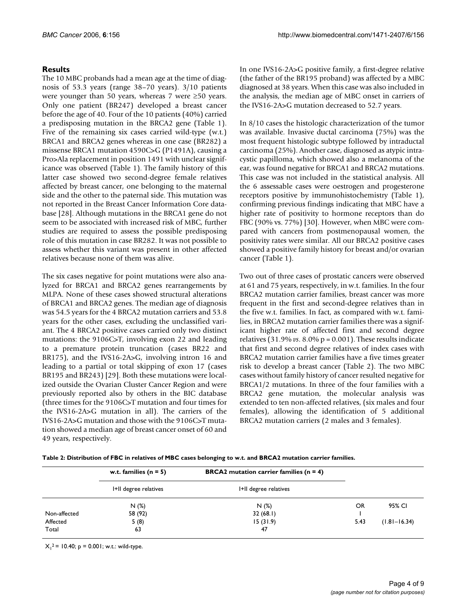#### **Results**

The 10 MBC probands had a mean age at the time of diagnosis of 53.3 years (range 38–70 years). 3/10 patients were younger than 50 years, whereas 7 were ≥50 years. Only one patient (BR247) developed a breast cancer before the age of 40. Four of the 10 patients (40%) carried a predisposing mutation in the BRCA2 gene (Table 1). Five of the remaining six cases carried wild-type (w.t.) BRCA1 and BRCA2 genes whereas in one case (BR282) a missense BRCA1 mutation 4590C>G (P1491A), causing a Pro>Ala replacement in position 1491 with unclear significance was observed (Table 1). The family history of this latter case showed two second-degree female relatives affected by breast cancer, one belonging to the maternal side and the other to the paternal side. This mutation was not reported in the Breast Cancer Information Core database [28]. Although mutations in the BRCA1 gene do not seem to be associated with increased risk of MBC, further studies are required to assess the possible predisposing role of this mutation in case BR282. It was not possible to assess whether this variant was present in other affected relatives because none of them was alive.

The six cases negative for point mutations were also analyzed for BRCA1 and BRCA2 genes rearrangements by MLPA. None of these cases showed structural alterations of BRCA1 and BRCA2 genes. The median age of diagnosis was 54.5 years for the 4 BRCA2 mutation carriers and 53.8 years for the other cases, excluding the unclassified variant. The 4 BRCA2 positive cases carried only two distinct mutations: the 9106C>T, involving exon 22 and leading to a premature protein truncation (cases BR22 and BR175), and the IVS16-2A>G, involving intron 16 and leading to a partial or total skipping of exon 17 (cases BR195 and BR243) [29]. Both these mutations were localized outside the Ovarian Cluster Cancer Region and were previously reported also by others in the BIC database (three times for the 9106C>T mutation and four times for the IVS16-2A>G mutation in all). The carriers of the IVS16-2A>G mutation and those with the 9106C>T mutation showed a median age of breast cancer onset of 60 and 49 years, respectively.

In one IVS16-2A>G positive family, a first-degree relative (the father of the BR195 proband) was affected by a MBC diagnosed at 38 years. When this case was also included in the analysis, the median age of MBC onset in carriers of the IVS16-2A>G mutation decreased to 52.7 years.

In 8/10 cases the histologic characterization of the tumor was available. Invasive ductal carcinoma (75%) was the most frequent histologic subtype followed by intraductal carcinoma (25%). Another case, diagnosed as atypic intracystic papilloma, which showed also a melanoma of the ear, was found negative for BRCA1 and BRCA2 mutations. This case was not included in the statistical analysis. All the 6 assessable cases were oestrogen and progesterone receptors positive by immunohistochemistry (Table 1), confirming previous findings indicating that MBC have a higher rate of positivity to hormone receptors than do FBC (90% vs. 77%) [30]. However, when MBC were compared with cancers from postmenopausal women, the positivity rates were similar. All our BRCA2 positive cases showed a positive family history for breast and/or ovarian cancer (Table 1).

Two out of three cases of prostatic cancers were observed at 61 and 75 years, respectively, in w.t. families. In the four BRCA2 mutation carrier families, breast cancer was more frequent in the first and second-degree relatives than in the five w.t. families. In fact, as compared with w.t. families, in BRCA2 mutation carrier families there was a significant higher rate of affected first and second degree relatives  $(31.9\% \text{ vs. } 8.0\% \text{ p} = 0.001)$ . These results indicate that first and second degree relatives of index cases with BRCA2 mutation carrier families have a five times greater risk to develop a breast cancer (Table 2). The two MBC cases without family history of cancer resulted negative for BRCA1/2 mutations. In three of the four families with a BRCA2 gene mutation, the molecular analysis was extended to ten non-affected relatives, (six males and four females), allowing the identification of 5 additional BRCA2 mutation carriers (2 males and 3 females).

**Table 2: Distribution of FBC in relatives of MBC cases belonging to w.t. and BRCA2 mutation carrier families.**

|              | w.t. families $(n = 5)$ | <b>BRCA2</b> mutation carrier families ( $n = 4$ ) |      |                  |
|--------------|-------------------------|----------------------------------------------------|------|------------------|
|              | I+II degree relatives   | I+II degree relatives                              |      |                  |
|              | N(%)                    | N(%)                                               | OR   | 95% CI           |
| Non-affected | 58 (92)                 | 32(68.1)                                           |      |                  |
| Affected     | 5(8)                    | 15(31.9)                                           | 5.43 | $(1.81 - 16.34)$ |
| Total        | 63                      | 47                                                 |      |                  |

 $X_1^2$  = 10.40; p = 0.001; w.t.: wild-type.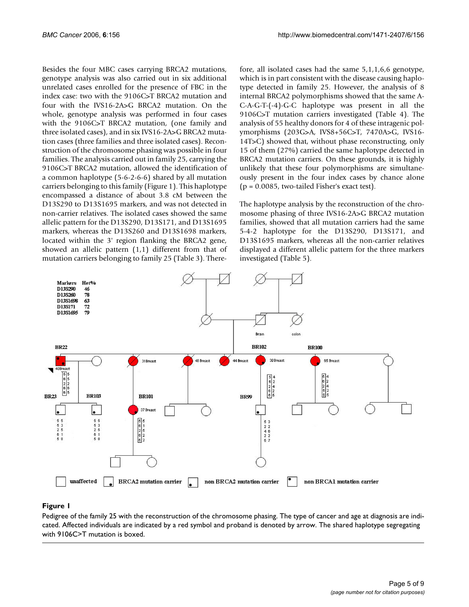Besides the four MBC cases carrying BRCA2 mutations, genotype analysis was also carried out in six additional unrelated cases enrolled for the presence of FBC in the index case: two with the 9106C>T BRCA2 mutation and four with the IVS16-2A>G BRCA2 mutation. On the whole, genotype analysis was performed in four cases with the 9106C>T BRCA2 mutation, (one family and three isolated cases), and in six IVS16-2A>G BRCA2 mutation cases (three families and three isolated cases). Reconstruction of the chromosome phasing was possible in four families. The analysis carried out in family 25, carrying the 9106C>T BRCA2 mutation, allowed the identification of a common haplotype (5-6-2-6-6) shared by all mutation carriers belonging to this family (Figure 1). This haplotype encompassed a distance of about 3.8 cM between the D13S290 to D13S1695 markers, and was not detected in non-carrier relatives. The isolated cases showed the same allelic pattern for the D13S290, D13S171, and D13S1695 markers, whereas the D13S260 and D13S1698 markers, located within the 3' region flanking the BRCA2 gene, showed an allelic pattern (1,1) different from that of mutation carriers belonging to family 25 (Table 3). Therefore, all isolated cases had the same 5,1,1,6,6 genotype, which is in part consistent with the disease causing haplotype detected in family 25. However, the analysis of 8 internal BRCA2 polymorphisms showed that the same A-C-A-G-T-(-4)-G-C haplotype was present in all the 9106C>T mutation carriers investigated (Table 4). The analysis of 55 healthy donors for 4 of these intragenic polymorphisms (203G>A, IVS8+56C>T, 7470A>G, IVS16- 14T>C) showed that, without phase reconstructing, only 15 of them (27%) carried the same haplotype detected in BRCA2 mutation carriers. On these grounds, it is highly unlikely that these four polymorphisms are simultaneously present in the four index cases by chance alone  $(p = 0.0085,$  two-tailed Fisher's exact test).

The haplotype analysis by the reconstruction of the chromosome phasing of three IVS16-2A>G BRCA2 mutation families, showed that all mutation carriers had the same 5-4-2 haplotype for the D13S290, D13S171, and D13S1695 markers, whereas all the non-carrier relatives displayed a different allelic pattern for the three markers investigated (Table 5).



#### Pedigree of the family 25 with the reco **Figure 1** nstruction of the chromosome phasing

Pedigree of the family 25 with the reconstruction of the chromosome phasing. The type of cancer and age at diagnosis are indicated. Affected individuals are indicated by a red symbol and proband is denoted by arrow. The shared haplotype segregating with 9106C>T mutation is boxed.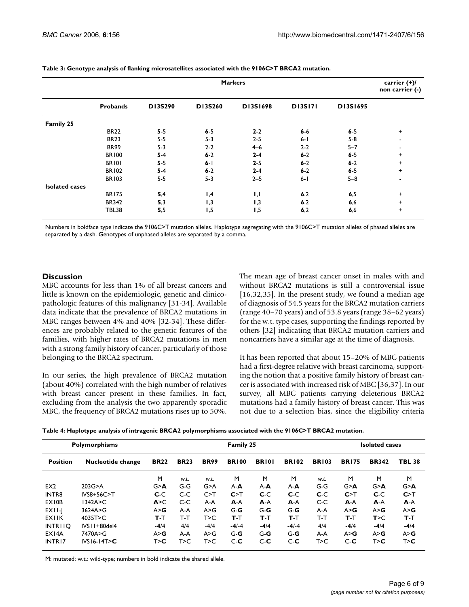|                       | <b>Markers</b>  |         |         |          |                |          |           |  |  |
|-----------------------|-----------------|---------|---------|----------|----------------|----------|-----------|--|--|
|                       | <b>Probands</b> | D13S290 | D13S260 | D13S1698 | <b>DI3SI71</b> | D13S1695 |           |  |  |
| Family 25             |                 |         |         |          |                |          |           |  |  |
|                       | <b>BR22</b>     | $5 - 5$ | $6-5$   | $2 - 2$  | $6-6$          | $6-5$    | $\ddot{}$ |  |  |
|                       | <b>BR23</b>     | $5-5$   | $5 - 3$ | $2 - 5$  | $6 - 1$        | $5-8$    |           |  |  |
|                       | <b>BR99</b>     | $5 - 3$ | $2 - 2$ | $4 - 6$  | $2-2$          | $5 - 7$  |           |  |  |
|                       | <b>BR100</b>    | $5-4$   | $6 - 2$ | $2 - 4$  | $6 - 2$        | $6 - 5$  | $\ddot{}$ |  |  |
|                       | <b>BR101</b>    | $5 - 5$ | $6 - 1$ | $2 - 5$  | $6 - 2$        | $6 - 2$  | $\ddot{}$ |  |  |
|                       | <b>BR102</b>    | $5-4$   | $6 - 2$ | $2 - 4$  | $6 - 2$        | $6-5$    | $\ddot{}$ |  |  |
|                       | <b>BR103</b>    | $5-5$   | $5 - 3$ | $2 - 5$  | $6 - 1$        | $5 - 8$  |           |  |  |
| <b>Isolated cases</b> |                 |         |         |          |                |          |           |  |  |
|                       | <b>BR175</b>    | 5,4     | 1,4     | 1,1      | 6,2            | 6,5      | $\ddot{}$ |  |  |
|                       | <b>BR342</b>    | 5,3     | 1,3     | 1,3      | 6,2            | 6,6      | $\ddot{}$ |  |  |
|                       | <b>TBL38</b>    | 5,5     | 1,5     | 1,5      | 6,2            | 6,6      | $\ddot{}$ |  |  |

**Table 3: Genotype analysis of flanking microsatellites associated with the 9106C>T BRCA2 mutation.**

Numbers in boldface type indicate the 9106C>T mutation alleles. Haplotype segregating with the 9106C>T mutation alleles of phased alleles are separated by a dash. Genotypes of unphased alleles are separated by a comma.

#### **Discussion**

MBC accounts for less than 1% of all breast cancers and little is known on the epidemiologic, genetic and clinicopathologic features of this malignancy [31-34]. Available data indicate that the prevalence of BRCA2 mutations in MBC ranges between 4% and 40% [32-34]. These differences are probably related to the genetic features of the families, with higher rates of BRCA2 mutations in men with a strong family history of cancer, particularly of those belonging to the BRCA2 spectrum.

In our series, the high prevalence of BRCA2 mutation (about 40%) correlated with the high number of relatives with breast cancer present in these families. In fact, excluding from the analysis the two apparently sporadic MBC, the frequency of BRCA2 mutations rises up to 50%.

The mean age of breast cancer onset in males with and without BRCA2 mutations is still a controversial issue  $[16,32,35]$ . In the present study, we found a median age of diagnosis of 54.5 years for the BRCA2 mutation carriers (range 40–70 years) and of 53.8 years (range 38–62 years) for the w.t. type cases, supporting the findings reported by others [32] indicating that BRCA2 mutation carriers and noncarriers have a similar age at the time of diagnosis.

It has been reported that about 15–20% of MBC patients had a first-degree relative with breast carcinoma, supporting the notion that a positive family history of breast cancer is associated with increased risk of MBC [36,37]. In our survey, all MBC patients carrying deleterious BRCA2 mutations had a family history of breast cancer. This was not due to a selection bias, since the eligibility criteria

| Table 4: Haplotype analysis of intragenic BRCA2 polymorphisms associated with the 9106C>T BRCA2 mutation. |  |  |
|-----------------------------------------------------------------------------------------------------------|--|--|
|-----------------------------------------------------------------------------------------------------------|--|--|

| <b>Polymorphisms</b> |                   |             |             | <b>Family 25</b> |              |              |              | <b>Isolated cases</b> |              |              |               |
|----------------------|-------------------|-------------|-------------|------------------|--------------|--------------|--------------|-----------------------|--------------|--------------|---------------|
| <b>Position</b>      | Nucleotide change | <b>BR22</b> | <b>BR23</b> | <b>BR99</b>      | <b>BR100</b> | <b>BRIOI</b> | <b>BR102</b> | <b>BR103</b>          | <b>BR175</b> | <b>BR342</b> | <b>TBL 38</b> |
|                      |                   | M           | w.t.        | w.t.             | M            | M            | M            | w.t.                  | M            | M            | M             |
| EX <sub>2</sub>      | 203G > A          | G > A       | G-G         | G > A            | $A - A$      | $A - A$      | $A - A$      | G-G                   | G > A        | G > A        | G > A         |
| INTR8                | IVS8+56C>T        | $C-C$       | $C-C$       | C > T            | C > T        | $C-C$        | $C-C$        | $C-C$                 | C>           | $C-C$        | C > T         |
| EX10B                | 1342A > C         | A > C       | C-C         | A-A              | $A-A$        | A-A          | $A-A$        | $C-C$                 | $A-A$        | $A-A$        | $A-A$         |
| EXII-I               | 3624A > G         | A > G       | A-A         | A > G            | $G - G$      | $G - G$      | $G-G$        | A-A                   | A > G        | A > G        | A > G         |
| EXIIK                | 4035T>C           | T-T         | T-T         | T>C              | $T-T$        | т.т          | T-T          | T-T                   | $T-T$        | T>C          | T-T           |
| <b>INTRIIO</b>       | $IVSI1+80$ del4   | $-4/4$      | 4/4         | $-4/4$           | $-4/-4$      | $-4/4$       | $-4/-4$      | 4/4                   | $-4/4$       | $-4/4$       | $-4/4$        |
| EX14A                | 7470A>G           | A > G       | A-A         | A > G            | $G - G$      | $G - G$      | $G-G$        | A-A                   | A > G        | A > G        | A > G         |
| INTR17               | $IVS16-14T> C$    | T > C       | T>C         | т>с              | $C-C$        | $C-C$        | $C-C$        | T>C                   | $C-C$        | T > C        | T > C         |

M: mutated; w.t.: wild-type; numbers in bold indicate the shared allele.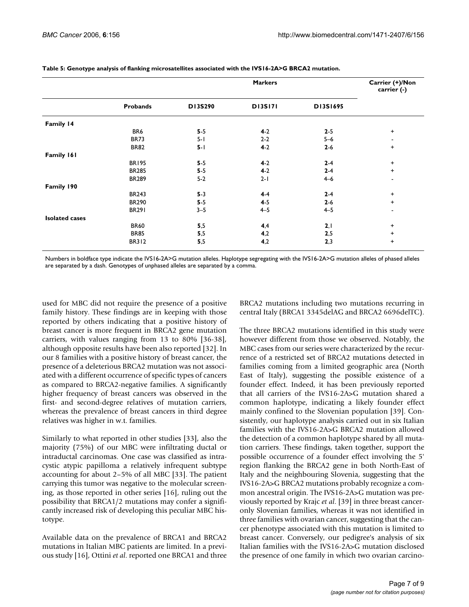|                       |                 |                           | <b>Markers</b> | Carrier (+)/Non<br>carrier (-) |                                  |
|-----------------------|-----------------|---------------------------|----------------|--------------------------------|----------------------------------|
|                       | <b>Probands</b> | D13S290<br><b>DI3SI71</b> |                |                                |                                  |
| Family 14             |                 |                           |                |                                |                                  |
|                       | BR6             | $5-5$                     | $4-2$          | $2 - 5$                        | $\ddot{}$                        |
|                       | <b>BR73</b>     | $5 - 1$                   | $2 - 2$        | $5 - 6$                        | $\overline{\phantom{a}}$         |
|                       | <b>BR82</b>     | $5 - 1$                   | $4-2$          | $2 - 6$                        | $\begin{array}{c} + \end{array}$ |
| Family 161            |                 |                           |                |                                |                                  |
|                       | <b>BR195</b>    | $5-5$                     | $4-2$          | $2 - 4$                        | $\ddot{}$                        |
|                       | <b>BR285</b>    | $5-5$                     | $4-2$          | $2 - 4$                        | $\ddot{}$                        |
|                       | <b>BR289</b>    | $5-2$                     | $2 - 1$        | $4 - 6$                        | $\blacksquare$                   |
| Family 190            |                 |                           |                |                                |                                  |
|                       | <b>BR243</b>    | $5-3$                     | $4-4$          | $2 - 4$                        | $\ddot{}$                        |
|                       | <b>BR290</b>    | $5-5$                     | $4 - 5$        | $2 - 6$                        | $\ddot{}$                        |
|                       | <b>BR291</b>    | $3 - 5$                   | $4 - 5$        | $4 - 5$                        | ٠                                |
| <b>Isolated cases</b> |                 |                           |                |                                |                                  |
|                       | <b>BR60</b>     | 5,5                       | 4,4            | 2,1                            | $\ddot{}$                        |
|                       | <b>BR85</b>     | 5,5                       | 4,2            | 2,5                            | $\ddot{}$                        |
|                       | <b>BR312</b>    | 5,5                       | 4,2            | 2,3                            | $\ddot{}$                        |

**Table 5: Genotype analysis of flanking microsatellites associated with the IVS16-2A>G BRCA2 mutation.**

Numbers in boldface type indicate the IVS16-2A>G mutation alleles. Haplotype segregating with the IVS16-2A>G mutation alleles of phased alleles are separated by a dash. Genotypes of unphased alleles are separated by a comma.

used for MBC did not require the presence of a positive family history. These findings are in keeping with those reported by others indicating that a positive history of breast cancer is more frequent in BRCA2 gene mutation carriers, with values ranging from 13 to 80% [36-38], although opposite results have been also reported [32]. In our 8 families with a positive history of breast cancer, the presence of a deleterious BRCA2 mutation was not associated with a different occurrence of specific types of cancers as compared to BRCA2-negative families. A significantly higher frequency of breast cancers was observed in the first- and second-degree relatives of mutation carriers, whereas the prevalence of breast cancers in third degree relatives was higher in w.t. families.

Similarly to what reported in other studies [33], also the majority (75%) of our MBC were infiltrating ductal or intraductal carcinomas. One case was classified as intracystic atypic papilloma a relatively infrequent subtype accounting for about 2–5% of all MBC [33]. The patient carrying this tumor was negative to the molecular screening, as those reported in other series [16], ruling out the possibility that BRCA1/2 mutations may confer a significantly increased risk of developing this peculiar MBC histotype.

Available data on the prevalence of BRCA1 and BRCA2 mutations in Italian MBC patients are limited. In a previous study [16], Ottini *et al*. reported one BRCA1 and three BRCA2 mutations including two mutations recurring in central Italy (BRCA1 3345delAG and BRCA2 6696delTC).

The three BRCA2 mutations identified in this study were however different from those we observed. Notably, the MBC cases from our series were characterized by the recurrence of a restricted set of BRCA2 mutations detected in families coming from a limited geographic area (North East of Italy), suggesting the possible existence of a founder effect. Indeed, it has been previously reported that all carriers of the IVS16-2A>G mutation shared a common haplotype, indicating a likely founder effect mainly confined to the Slovenian population [39]. Consistently, our haplotype analysis carried out in six Italian families with the IVS16-2A>G BRCA2 mutation allowed the detection of a common haplotype shared by all mutation carriers. These findings, taken together, support the possible occurrence of a founder effect involving the 5' region flanking the BRCA2 gene in both North-East of Italy and the neighbouring Slovenia, suggesting that the IVS16-2A>G BRCA2 mutations probably recognize a common ancestral origin. The IVS16-2A>G mutation was previously reported by Krajc *et al*. [39] in three breast canceronly Slovenian families, whereas it was not identified in three families with ovarian cancer, suggesting that the cancer phenotype associated with this mutation is limited to breast cancer. Conversely, our pedigree's analysis of six Italian families with the IVS16-2A>G mutation disclosed the presence of one family in which two ovarian carcino-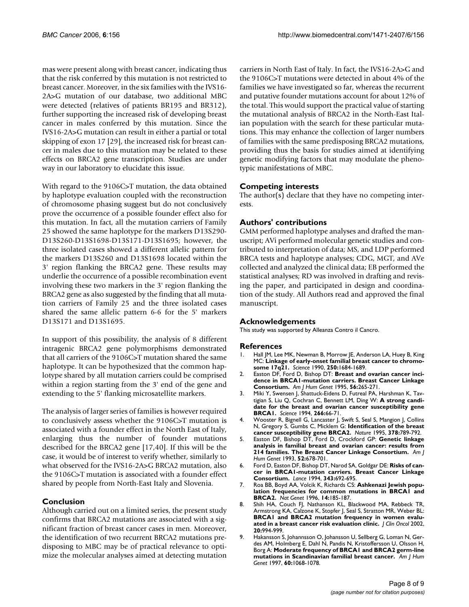mas were present along with breast cancer, indicating thus that the risk conferred by this mutation is not restricted to breast cancer. Moreover, in the six families with the IVS16- 2A>G mutation of our database, two additional MBC were detected (relatives of patients BR195 and BR312), further supporting the increased risk of developing breast cancer in males conferred by this mutation. Since the IVS16-2A>G mutation can result in either a partial or total skipping of exon 17 [29], the increased risk for breast cancer in males due to this mutation may be related to these effects on BRCA2 gene transcription. Studies are under way in our laboratory to elucidate this issue.

With regard to the 9106C>T mutation, the data obtained by haplotype evaluation coupled with the reconstruction of chromosome phasing suggest but do not conclusively prove the occurrence of a possible founder effect also for this mutation. In fact, all the mutation carriers of Family 25 showed the same haplotype for the markers D13S290- D13S260-D13S1698-D13S171-D13S1695; however, the three isolated cases showed a different allelic pattern for the markers D13S260 and D13S1698 located within the 3' region flanking the BRCA2 gene. These results may underlie the occurrence of a possible recombination event involving these two markers in the 3' region flanking the BRCA2 gene as also suggested by the finding that all mutation carriers of Family 25 and the three isolated cases shared the same allelic pattern 6-6 for the 5' markers D13S171 and D13S1695.

In support of this possibility, the analysis of 8 different intragenic BRCA2 gene polymorphisms demonstrated that all carriers of the 9106C>T mutation shared the same haplotype. It can be hypothesized that the common haplotype shared by all mutation carriers could be comprised within a region starting from the 3' end of the gene and extending to the 5' flanking microsatellite markers.

The analysis of larger series of families is however required to conclusively assess whether the 9106C>T mutation is associated with a founder effect in the North East of Italy, enlarging thus the number of founder mutations described for the BRCA2 gene [17,40]. If this will be the case, it would be of interest to verify whether, similarly to what observed for the IVS16-2A>G BRCA2 mutation, also the 9106C>T mutation is associated with a founder effect shared by people from North-East Italy and Slovenia.

#### **Conclusion**

Although carried out on a limited series, the present study confirms that BRCA2 mutations are associated with a significant fraction of breast cancer cases in men. Moreover, the identification of two recurrent BRCA2 mutations predisposing to MBC may be of practical relevance to optimize the molecular analyses aimed at detecting mutation carriers in North East of Italy. In fact, the IVS16-2A>G and the 9106C>T mutations were detected in about 4% of the families we have investigated so far, whereas the recurrent and putative founder mutations account for about 12% of the total. This would support the practical value of starting the mutational analysis of BRCA2 in the North-East Italian population with the search for these particular mutations. This may enhance the collection of larger numbers of families with the same predisposing BRCA2 mutations, providing thus the basis for studies aimed at identifying genetic modifying factors that may modulate the phenotypic manifestations of MBC.

#### **Competing interests**

The author(s) declare that they have no competing interests.

#### **Authors' contributions**

GMM performed haplotype analyses and drafted the manuscript; AVi performed molecular genetic studies and contributed to interpretation of data; MS, and LDP performed BRCA tests and haplotype analyses; CDG, MGT, and AVe collected and analyzed the clinical data; EB performed the statistical analyses; RD was involved in drafting and revising the paper, and participated in design and coordination of the study. All Authors read and approved the final manuscript.

#### **Acknowledgements**

This study was supported by Alleanza Contro il Cancro.

#### **References**

- 1. Hall JM, Lee MK, Newman B, Morrow JE, Anderson LA, Huey B, King MC: **[Linkage of early-onset familial breast cancer to chromo](http://www.ncbi.nlm.nih.gov/entrez/query.fcgi?cmd=Retrieve&db=PubMed&dopt=Abstract&list_uids=2270482)[some 17q21.](http://www.ncbi.nlm.nih.gov/entrez/query.fcgi?cmd=Retrieve&db=PubMed&dopt=Abstract&list_uids=2270482)** *Science* 1990, **250:**1684-1689.
- 2. Easton DF, Ford D, Bishop DT: **[Breast and ovarian cancer inci](http://www.ncbi.nlm.nih.gov/entrez/query.fcgi?cmd=Retrieve&db=PubMed&dopt=Abstract&list_uids=7825587)[dence in BRCA1-mutation carriers. Breast Cancer Linkage](http://www.ncbi.nlm.nih.gov/entrez/query.fcgi?cmd=Retrieve&db=PubMed&dopt=Abstract&list_uids=7825587) [Consortium.](http://www.ncbi.nlm.nih.gov/entrez/query.fcgi?cmd=Retrieve&db=PubMed&dopt=Abstract&list_uids=7825587)** *Am J Hum Genet* 1995, **56:**265-271.
- 3. Miki Y, Swensen J, Shattuck-Eidens D, Futreal PA, Harshman K, Tavtigian S, Liu Q, Cochran C, Bennett LM, Ding W: **[A strong candi](http://www.ncbi.nlm.nih.gov/entrez/query.fcgi?cmd=Retrieve&db=PubMed&dopt=Abstract&list_uids=7545954)[date for the breast and ovarian cancer susceptibility gene](http://www.ncbi.nlm.nih.gov/entrez/query.fcgi?cmd=Retrieve&db=PubMed&dopt=Abstract&list_uids=7545954) [BRCA1.](http://www.ncbi.nlm.nih.gov/entrez/query.fcgi?cmd=Retrieve&db=PubMed&dopt=Abstract&list_uids=7545954)** *Science* 1994, **266:**66-71.
- 4. Wooster R, Bignell G, Lancaster J, Swift S, Seal S, Mangion J, Collins N, Gregory S, Gumbs C, Micklem G: **[Identification of the breast](http://www.ncbi.nlm.nih.gov/entrez/query.fcgi?cmd=Retrieve&db=PubMed&dopt=Abstract&list_uids=8524414) [cancer susceptibility gene BRCA2.](http://www.ncbi.nlm.nih.gov/entrez/query.fcgi?cmd=Retrieve&db=PubMed&dopt=Abstract&list_uids=8524414)** *Nature* 1995, **378:**789-792.
- 5. Easton DF, Bishop DT, Ford D, Crockford GP: **[Genetic linkage](http://www.ncbi.nlm.nih.gov/entrez/query.fcgi?cmd=Retrieve&db=PubMed&dopt=Abstract&list_uids=8460634) [analysis in familial breast and ovarian cancer: results from](http://www.ncbi.nlm.nih.gov/entrez/query.fcgi?cmd=Retrieve&db=PubMed&dopt=Abstract&list_uids=8460634) [214 families. The Breast Cancer Linkage Consortium.](http://www.ncbi.nlm.nih.gov/entrez/query.fcgi?cmd=Retrieve&db=PubMed&dopt=Abstract&list_uids=8460634)** *Am J Hum Genet* 1993, **52:**678-701.
- 6. Ford D, Easton DF, Bishop DT, Narod SA, Goldgar DE: **Risks of cancer in BRCA1-mutation carriers. Breast Cancer Linkage Consortium.** *Lance* 1994, **343:**692-695.
- 7. Roa BB, Boyd AA, Volcik K, Richards CS: **[Ashkenazi Jewish popu](http://www.ncbi.nlm.nih.gov/entrez/query.fcgi?cmd=Retrieve&db=PubMed&dopt=Abstract&list_uids=8841191)[lation frequencies for common mutations in BRCA1 and](http://www.ncbi.nlm.nih.gov/entrez/query.fcgi?cmd=Retrieve&db=PubMed&dopt=Abstract&list_uids=8841191) [BRCA2.](http://www.ncbi.nlm.nih.gov/entrez/query.fcgi?cmd=Retrieve&db=PubMed&dopt=Abstract&list_uids=8841191)** *Nat Genet* 1996, **14:**185-187.
- 8. Shih HA, Couch FJ, Nathanson KL, Blackwood MA, Rebbeck TR, Armstrong KA, Calzone K, Stopfer J, Seal S, Stratton MR, Weber BL: **[BRCA1 and BRCA2 mutation frequency in women evalu](http://www.ncbi.nlm.nih.gov/entrez/query.fcgi?cmd=Retrieve&db=PubMed&dopt=Abstract&list_uids=11844822)[ated in a breast cancer risk evaluation clinic.](http://www.ncbi.nlm.nih.gov/entrez/query.fcgi?cmd=Retrieve&db=PubMed&dopt=Abstract&list_uids=11844822)** *J Clin Oncol* 2002, **20:**994-999.
- 9. Hakansson S, Johannsson O, Johansson U, Sellberg G, Loman N, Gerdes AM, Holmberg E, Dahl N, Pandis N, Kristoffersson U, Olsson H, Borg A: **[Moderate frequency of BRCA1 and BRCA2 germ-line](http://www.ncbi.nlm.nih.gov/entrez/query.fcgi?cmd=Retrieve&db=PubMed&dopt=Abstract&list_uids=9150154) [mutations in Scandinavian familial breast cancer.](http://www.ncbi.nlm.nih.gov/entrez/query.fcgi?cmd=Retrieve&db=PubMed&dopt=Abstract&list_uids=9150154)** *Am J Hum Genet* 1997, **60:**1068-1078.